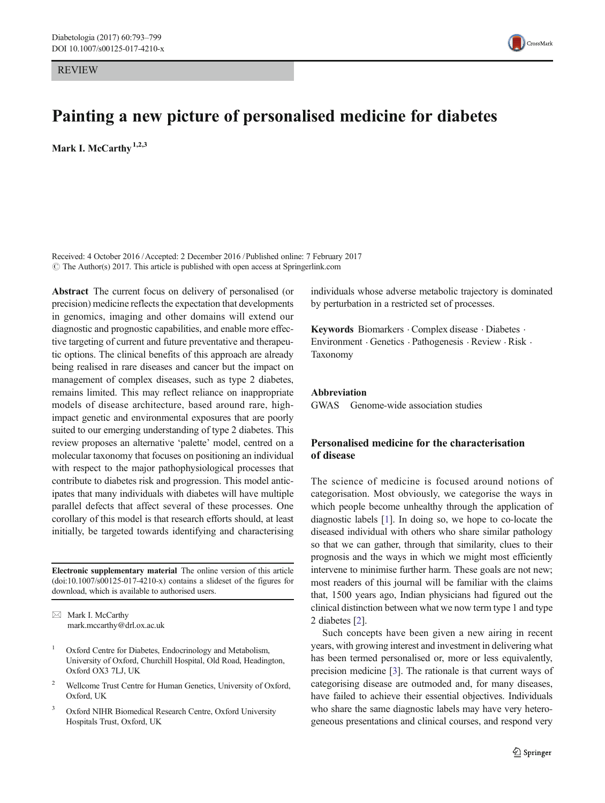REVIEW



# Painting a new picture of personalised medicine for diabetes

Mark I. McCarthy<sup>1,2,3</sup>

Received: 4 October 2016 /Accepted: 2 December 2016 /Published online: 7 February 2017  $\odot$  The Author(s) 2017. This article is published with open access at Springerlink.com

Abstract The current focus on delivery of personalised (or precision) medicine reflects the expectation that developments in genomics, imaging and other domains will extend our diagnostic and prognostic capabilities, and enable more effective targeting of current and future preventative and therapeutic options. The clinical benefits of this approach are already being realised in rare diseases and cancer but the impact on management of complex diseases, such as type 2 diabetes, remains limited. This may reflect reliance on inappropriate models of disease architecture, based around rare, highimpact genetic and environmental exposures that are poorly suited to our emerging understanding of type 2 diabetes. This review proposes an alternative 'palette' model, centred on a molecular taxonomy that focuses on positioning an individual with respect to the major pathophysiological processes that contribute to diabetes risk and progression. This model anticipates that many individuals with diabetes will have multiple parallel defects that affect several of these processes. One corollary of this model is that research efforts should, at least initially, be targeted towards identifying and characterising

Electronic supplementary material The online version of this article  $(doi:10.1007/s00125-017-4210-x)$  $(doi:10.1007/s00125-017-4210-x)$  $(doi:10.1007/s00125-017-4210-x)$  contains a slideset of the figures for download, which is available to authorised users.

 $\boxtimes$  Mark I. McCarthy mark.mccarthy@drl.ox.ac.uk

<sup>1</sup> Oxford Centre for Diabetes, Endocrinology and Metabolism, University of Oxford, Churchill Hospital, Old Road, Headington, Oxford OX3 7LJ, UK

- <sup>2</sup> Wellcome Trust Centre for Human Genetics, University of Oxford, Oxford, UK
- <sup>3</sup> Oxford NIHR Biomedical Research Centre, Oxford University Hospitals Trust, Oxford, UK

individuals whose adverse metabolic trajectory is dominated by perturbation in a restricted set of processes.

Keywords Biomarkers  $\cdot$  Complex disease  $\cdot$  Diabetes  $\cdot$ Environment . Genetics . Pathogenesis . Review . Risk . Taxonomy

## Abbreviation

GWAS Genome-wide association studies

# Personalised medicine for the characterisation of disease

The science of medicine is focused around notions of categorisation. Most obviously, we categorise the ways in which people become unhealthy through the application of diagnostic labels [[1](#page-6-0)]. In doing so, we hope to co-locate the diseased individual with others who share similar pathology so that we can gather, through that similarity, clues to their prognosis and the ways in which we might most efficiently intervene to minimise further harm. These goals are not new; most readers of this journal will be familiar with the claims that, 1500 years ago, Indian physicians had figured out the clinical distinction between what we now term type 1 and type 2 diabetes [\[2\]](#page-6-0).

Such concepts have been given a new airing in recent years, with growing interest and investment in delivering what has been termed personalised or, more or less equivalently, precision medicine [\[3](#page-6-0)]. The rationale is that current ways of categorising disease are outmoded and, for many diseases, have failed to achieve their essential objectives. Individuals who share the same diagnostic labels may have very heterogeneous presentations and clinical courses, and respond very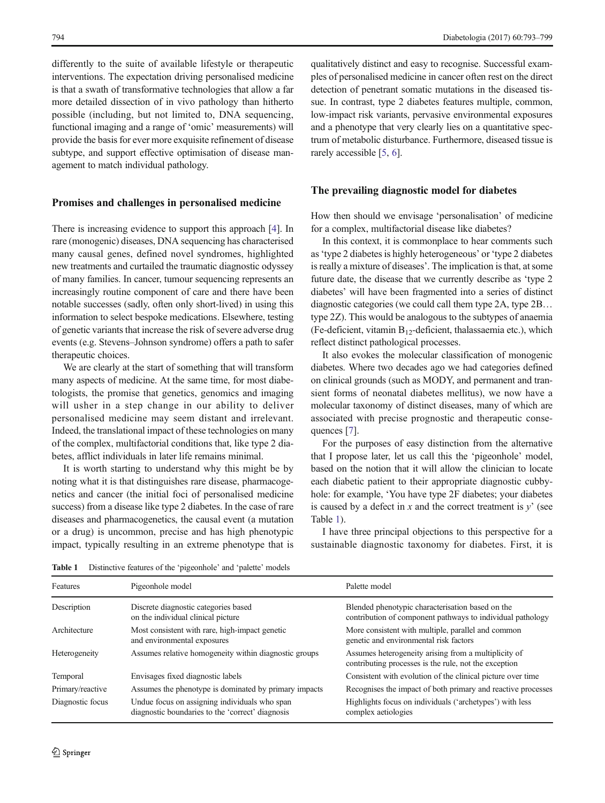<span id="page-1-0"></span>differently to the suite of available lifestyle or therapeutic interventions. The expectation driving personalised medicine is that a swath of transformative technologies that allow a far more detailed dissection of in vivo pathology than hitherto possible (including, but not limited to, DNA sequencing, functional imaging and a range of 'omic' measurements) will provide the basis for ever more exquisite refinement of disease subtype, and support effective optimisation of disease management to match individual pathology.

#### Promises and challenges in personalised medicine

There is increasing evidence to support this approach [[4](#page-6-0)]. In rare (monogenic) diseases, DNA sequencing has characterised many causal genes, defined novel syndromes, highlighted new treatments and curtailed the traumatic diagnostic odyssey of many families. In cancer, tumour sequencing represents an increasingly routine component of care and there have been notable successes (sadly, often only short-lived) in using this information to select bespoke medications. Elsewhere, testing of genetic variants that increase the risk of severe adverse drug events (e.g. Stevens–Johnson syndrome) offers a path to safer therapeutic choices.

We are clearly at the start of something that will transform many aspects of medicine. At the same time, for most diabetologists, the promise that genetics, genomics and imaging will usher in a step change in our ability to deliver personalised medicine may seem distant and irrelevant. Indeed, the translational impact of these technologies on many of the complex, multifactorial conditions that, like type 2 diabetes, afflict individuals in later life remains minimal.

It is worth starting to understand why this might be by noting what it is that distinguishes rare disease, pharmacogenetics and cancer (the initial foci of personalised medicine success) from a disease like type 2 diabetes. In the case of rare diseases and pharmacogenetics, the causal event (a mutation or a drug) is uncommon, precise and has high phenotypic impact, typically resulting in an extreme phenotype that is qualitatively distinct and easy to recognise. Successful examples of personalised medicine in cancer often rest on the direct detection of penetrant somatic mutations in the diseased tissue. In contrast, type 2 diabetes features multiple, common, low-impact risk variants, pervasive environmental exposures and a phenotype that very clearly lies on a quantitative spectrum of metabolic disturbance. Furthermore, diseased tissue is rarely accessible [[5,](#page-6-0) [6\]](#page-6-0).

## The prevailing diagnostic model for diabetes

How then should we envisage 'personalisation' of medicine for a complex, multifactorial disease like diabetes?

In this context, it is commonplace to hear comments such as'type 2 diabetes is highly heterogeneous' or 'type 2 diabetes is really a mixture of diseases'. The implication is that, at some future date, the disease that we currently describe as 'type 2 diabetes' will have been fragmented into a series of distinct diagnostic categories (we could call them type 2A, type 2B… type 2Z). This would be analogous to the subtypes of anaemia (Fe-deficient, vitamin  $B_{12}$ -deficient, thalassaemia etc.), which reflect distinct pathological processes.

It also evokes the molecular classification of monogenic diabetes. Where two decades ago we had categories defined on clinical grounds (such as MODY, and permanent and transient forms of neonatal diabetes mellitus), we now have a molecular taxonomy of distinct diseases, many of which are associated with precise prognostic and therapeutic consequences [\[7](#page-6-0)].

For the purposes of easy distinction from the alternative that I propose later, let us call this the 'pigeonhole' model, based on the notion that it will allow the clinician to locate each diabetic patient to their appropriate diagnostic cubbyhole: for example, 'You have type 2F diabetes; your diabetes is caused by a defect in  $x$  and the correct treatment is  $y'$  (see Table 1).

I have three principal objections to this perspective for a sustainable diagnostic taxonomy for diabetes. First, it is

Features Pigeonhole model Palette model Palette model Description Discrete diagnostic categories based on the individual clinical picture Blended phenotypic characterisation based on the contribution of component pathways to individual pathology Architecture Most consistent with rare, high-impact genetic and environmental exposures More consistent with multiple, parallel and common genetic and environmental risk factors Heterogeneity Assumes relative homogeneity within diagnostic groups Assumes heterogeneity arising from a multiplicity of contributing processes is the rule, not the exception Temporal Envisages fixed diagnostic labels Consistent with evolution of the clinical picture over time Primary/reactive Assumes the phenotype is dominated by primary impacts Recognises the impact of both primary and reactive processes Diagnostic focus Undue focus on assigning individuals who span diagnostic boundaries to the 'correct' diagnosis Highlights focus on individuals ('archetypes') with less complex aetiologies

Table 1 Distinctive features of the 'pigeonhole' and 'palette' models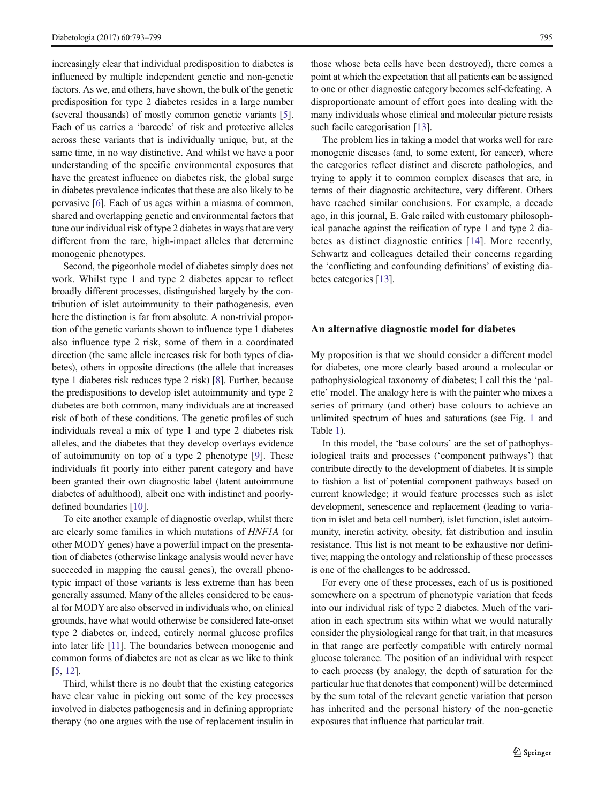increasingly clear that individual predisposition to diabetes is influenced by multiple independent genetic and non-genetic factors. As we, and others, have shown, the bulk of the genetic predisposition for type 2 diabetes resides in a large number (several thousands) of mostly common genetic variants [[5\]](#page-6-0). Each of us carries a 'barcode' of risk and protective alleles across these variants that is individually unique, but, at the same time, in no way distinctive. And whilst we have a poor understanding of the specific environmental exposures that have the greatest influence on diabetes risk, the global surge in diabetes prevalence indicates that these are also likely to be pervasive [\[6](#page-6-0)]. Each of us ages within a miasma of common, shared and overlapping genetic and environmental factors that tune our individual risk of type 2 diabetes in ways that are very different from the rare, high-impact alleles that determine monogenic phenotypes.

Second, the pigeonhole model of diabetes simply does not work. Whilst type 1 and type 2 diabetes appear to reflect broadly different processes, distinguished largely by the contribution of islet autoimmunity to their pathogenesis, even here the distinction is far from absolute. A non-trivial proportion of the genetic variants shown to influence type 1 diabetes also influence type 2 risk, some of them in a coordinated direction (the same allele increases risk for both types of diabetes), others in opposite directions (the allele that increases type 1 diabetes risk reduces type 2 risk) [\[8](#page-6-0)]. Further, because the predispositions to develop islet autoimmunity and type 2 diabetes are both common, many individuals are at increased risk of both of these conditions. The genetic profiles of such individuals reveal a mix of type 1 and type 2 diabetes risk alleles, and the diabetes that they develop overlays evidence of autoimmunity on top of a type 2 phenotype [[9\]](#page-6-0). These individuals fit poorly into either parent category and have been granted their own diagnostic label (latent autoimmune diabetes of adulthood), albeit one with indistinct and poorlydefined boundaries [[10\]](#page-6-0).

To cite another example of diagnostic overlap, whilst there are clearly some families in which mutations of HNF1A (or other MODY genes) have a powerful impact on the presentation of diabetes (otherwise linkage analysis would never have succeeded in mapping the causal genes), the overall phenotypic impact of those variants is less extreme than has been generally assumed. Many of the alleles considered to be causal for MODYare also observed in individuals who, on clinical grounds, have what would otherwise be considered late-onset type 2 diabetes or, indeed, entirely normal glucose profiles into later life [\[11\]](#page-6-0). The boundaries between monogenic and common forms of diabetes are not as clear as we like to think [\[5](#page-6-0), [12\]](#page-6-0).

Third, whilst there is no doubt that the existing categories have clear value in picking out some of the key processes involved in diabetes pathogenesis and in defining appropriate therapy (no one argues with the use of replacement insulin in those whose beta cells have been destroyed), there comes a point at which the expectation that all patients can be assigned to one or other diagnostic category becomes self-defeating. A disproportionate amount of effort goes into dealing with the many individuals whose clinical and molecular picture resists such facile categorisation [\[13\]](#page-6-0).

The problem lies in taking a model that works well for rare monogenic diseases (and, to some extent, for cancer), where the categories reflect distinct and discrete pathologies, and trying to apply it to common complex diseases that are, in terms of their diagnostic architecture, very different. Others have reached similar conclusions. For example, a decade ago, in this journal, E. Gale railed with customary philosophical panache against the reification of type 1 and type 2 diabetes as distinct diagnostic entities [\[14\]](#page-6-0). More recently, Schwartz and colleagues detailed their concerns regarding the 'conflicting and confounding definitions' of existing diabetes categories [\[13](#page-6-0)].

#### An alternative diagnostic model for diabetes

My proposition is that we should consider a different model for diabetes, one more clearly based around a molecular or pathophysiological taxonomy of diabetes; I call this the 'palette' model. The analogy here is with the painter who mixes a series of primary (and other) base colours to achieve an unlimited spectrum of hues and saturations (see Fig. [1](#page-3-0) and Table [1](#page-1-0)).

In this model, the 'base colours' are the set of pathophysiological traits and processes ('component pathways') that contribute directly to the development of diabetes. It is simple to fashion a list of potential component pathways based on current knowledge; it would feature processes such as islet development, senescence and replacement (leading to variation in islet and beta cell number), islet function, islet autoimmunity, incretin activity, obesity, fat distribution and insulin resistance. This list is not meant to be exhaustive nor definitive; mapping the ontology and relationship of these processes is one of the challenges to be addressed.

For every one of these processes, each of us is positioned somewhere on a spectrum of phenotypic variation that feeds into our individual risk of type 2 diabetes. Much of the variation in each spectrum sits within what we would naturally consider the physiological range for that trait, in that measures in that range are perfectly compatible with entirely normal glucose tolerance. The position of an individual with respect to each process (by analogy, the depth of saturation for the particular hue that denotes that component) will be determined by the sum total of the relevant genetic variation that person has inherited and the personal history of the non-genetic exposures that influence that particular trait.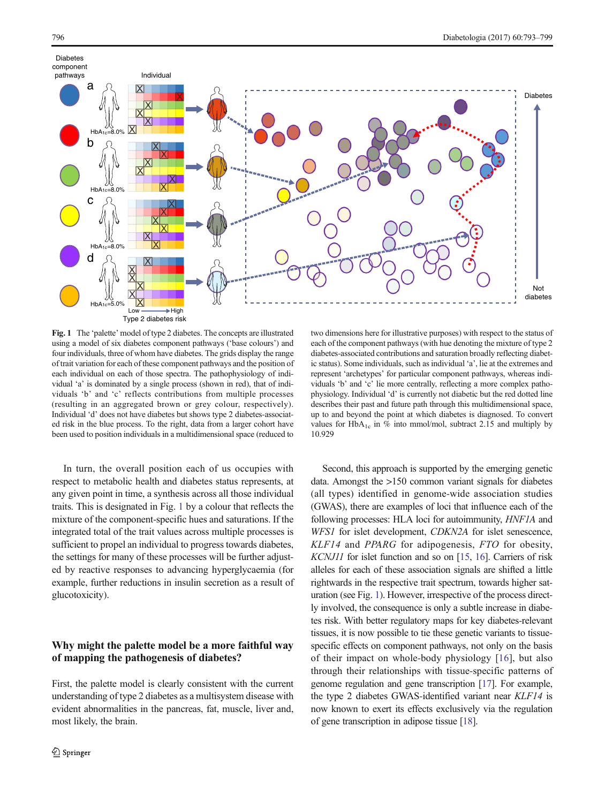<span id="page-3-0"></span>

Fig. 1 The 'palette' model of type 2 diabetes. The concepts are illustrated using a model of six diabetes component pathways ('base colours') and four individuals, three of whom have diabetes. The grids display the range of trait variation for each of these component pathways and the position of each individual on each of those spectra. The pathophysiology of individual 'a' is dominated by a single process (shown in red), that of individuals 'b' and 'c' reflects contributions from multiple processes (resulting in an aggregated brown or grey colour, respectively). Individual 'd' does not have diabetes but shows type 2 diabetes-associated risk in the blue process. To the right, data from a larger cohort have been used to position individuals in a multidimensional space (reduced to

In turn, the overall position each of us occupies with respect to metabolic health and diabetes status represents, at any given point in time, a synthesis across all those individual traits. This is designated in Fig. 1 by a colour that reflects the mixture of the component-specific hues and saturations. If the integrated total of the trait values across multiple processes is sufficient to propel an individual to progress towards diabetes, the settings for many of these processes will be further adjusted by reactive responses to advancing hyperglycaemia (for example, further reductions in insulin secretion as a result of glucotoxicity).

# Why might the palette model be a more faithful way of mapping the pathogenesis of diabetes?

First, the palette model is clearly consistent with the current understanding of type 2 diabetes as a multisystem disease with evident abnormalities in the pancreas, fat, muscle, liver and, most likely, the brain.

two dimensions here for illustrative purposes) with respect to the status of each of the component pathways (with hue denoting the mixture of type 2 diabetes-associated contributions and saturation broadly reflecting diabetic status). Some individuals, such as individual 'a', lie at the extremes and represent 'archetypes' for particular component pathways, whereas individuals 'b' and 'c' lie more centrally, reflecting a more complex pathophysiology. Individual 'd' is currently not diabetic but the red dotted line describes their past and future path through this multidimensional space, up to and beyond the point at which diabetes is diagnosed. To convert values for  $HbA_{1c}$  in % into mmol/mol, subtract 2.15 and multiply by 10.929

Second, this approach is supported by the emerging genetic data. Amongst the >150 common variant signals for diabetes (all types) identified in genome-wide association studies (GWAS), there are examples of loci that influence each of the following processes: HLA loci for autoimmunity, HNF1A and WFS1 for islet development, CDKN2A for islet senescence, KLF14 and PPARG for adipogenesis, FTO for obesity, KCNJ11 for islet function and so on [\[15](#page-6-0), [16](#page-6-0)]. Carriers of risk alleles for each of these association signals are shifted a little rightwards in the respective trait spectrum, towards higher saturation (see Fig. 1). However, irrespective of the process directly involved, the consequence is only a subtle increase in diabetes risk. With better regulatory maps for key diabetes-relevant tissues, it is now possible to tie these genetic variants to tissuespecific effects on component pathways, not only on the basis of their impact on whole-body physiology [\[16](#page-6-0)], but also through their relationships with tissue-specific patterns of genome regulation and gene transcription [\[17\]](#page-6-0). For example, the type 2 diabetes GWAS-identified variant near KLF14 is now known to exert its effects exclusively via the regulation of gene transcription in adipose tissue [[18](#page-6-0)].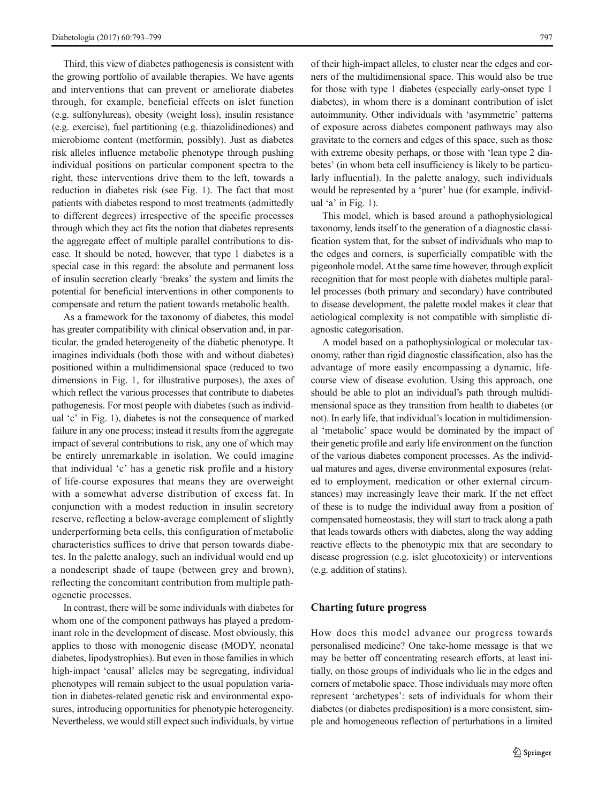Third, this view of diabetes pathogenesis is consistent with the growing portfolio of available therapies. We have agents and interventions that can prevent or ameliorate diabetes through, for example, beneficial effects on islet function (e.g. sulfonylureas), obesity (weight loss), insulin resistance (e.g. exercise), fuel partitioning (e.g. thiazolidinediones) and microbiome content (metformin, possibly). Just as diabetes risk alleles influence metabolic phenotype through pushing individual positions on particular component spectra to the right, these interventions drive them to the left, towards a reduction in diabetes risk (see Fig. [1\)](#page-3-0). The fact that most patients with diabetes respond to most treatments (admittedly to different degrees) irrespective of the specific processes through which they act fits the notion that diabetes represents the aggregate effect of multiple parallel contributions to disease. It should be noted, however, that type 1 diabetes is a special case in this regard: the absolute and permanent loss of insulin secretion clearly 'breaks' the system and limits the potential for beneficial interventions in other components to compensate and return the patient towards metabolic health.

As a framework for the taxonomy of diabetes, this model has greater compatibility with clinical observation and, in particular, the graded heterogeneity of the diabetic phenotype. It imagines individuals (both those with and without diabetes) positioned within a multidimensional space (reduced to two dimensions in Fig. [1](#page-3-0), for illustrative purposes), the axes of which reflect the various processes that contribute to diabetes pathogenesis. For most people with diabetes (such as individual 'c' in Fig. [1](#page-3-0)), diabetes is not the consequence of marked failure in any one process; instead it results from the aggregate impact of several contributions to risk, any one of which may be entirely unremarkable in isolation. We could imagine that individual 'c' has a genetic risk profile and a history of life-course exposures that means they are overweight with a somewhat adverse distribution of excess fat. In conjunction with a modest reduction in insulin secretory reserve, reflecting a below-average complement of slightly underperforming beta cells, this configuration of metabolic characteristics suffices to drive that person towards diabetes. In the palette analogy, such an individual would end up a nondescript shade of taupe (between grey and brown), reflecting the concomitant contribution from multiple pathogenetic processes.

In contrast, there will be some individuals with diabetes for whom one of the component pathways has played a predominant role in the development of disease. Most obviously, this applies to those with monogenic disease (MODY, neonatal diabetes, lipodystrophies). But even in those families in which high-impact 'causal' alleles may be segregating, individual phenotypes will remain subject to the usual population variation in diabetes-related genetic risk and environmental exposures, introducing opportunities for phenotypic heterogeneity. Nevertheless, we would still expect such individuals, by virtue of their high-impact alleles, to cluster near the edges and corners of the multidimensional space. This would also be true for those with type 1 diabetes (especially early-onset type 1 diabetes), in whom there is a dominant contribution of islet autoimmunity. Other individuals with 'asymmetric' patterns of exposure across diabetes component pathways may also gravitate to the corners and edges of this space, such as those with extreme obesity perhaps, or those with 'lean type 2 diabetes' (in whom beta cell insufficiency is likely to be particularly influential). In the palette analogy, such individuals would be represented by a 'purer' hue (for example, individual 'a' in Fig.  $1$ ).

This model, which is based around a pathophysiological taxonomy, lends itself to the generation of a diagnostic classification system that, for the subset of individuals who map to the edges and corners, is superficially compatible with the pigeonhole model. At the same time however, through explicit recognition that for most people with diabetes multiple parallel processes (both primary and secondary) have contributed to disease development, the palette model makes it clear that aetiological complexity is not compatible with simplistic diagnostic categorisation.

A model based on a pathophysiological or molecular taxonomy, rather than rigid diagnostic classification, also has the advantage of more easily encompassing a dynamic, lifecourse view of disease evolution. Using this approach, one should be able to plot an individual's path through multidimensional space as they transition from health to diabetes (or not). In early life, that individual's location in multidimensional 'metabolic' space would be dominated by the impact of their genetic profile and early life environment on the function of the various diabetes component processes. As the individual matures and ages, diverse environmental exposures (related to employment, medication or other external circumstances) may increasingly leave their mark. If the net effect of these is to nudge the individual away from a position of compensated homeostasis, they will start to track along a path that leads towards others with diabetes, along the way adding reactive effects to the phenotypic mix that are secondary to disease progression (e.g. islet glucotoxicity) or interventions (e.g. addition of statins).

## Charting future progress

How does this model advance our progress towards personalised medicine? One take-home message is that we may be better off concentrating research efforts, at least initially, on those groups of individuals who lie in the edges and corners of metabolic space. Those individuals may more often represent 'archetypes': sets of individuals for whom their diabetes (or diabetes predisposition) is a more consistent, simple and homogeneous reflection of perturbations in a limited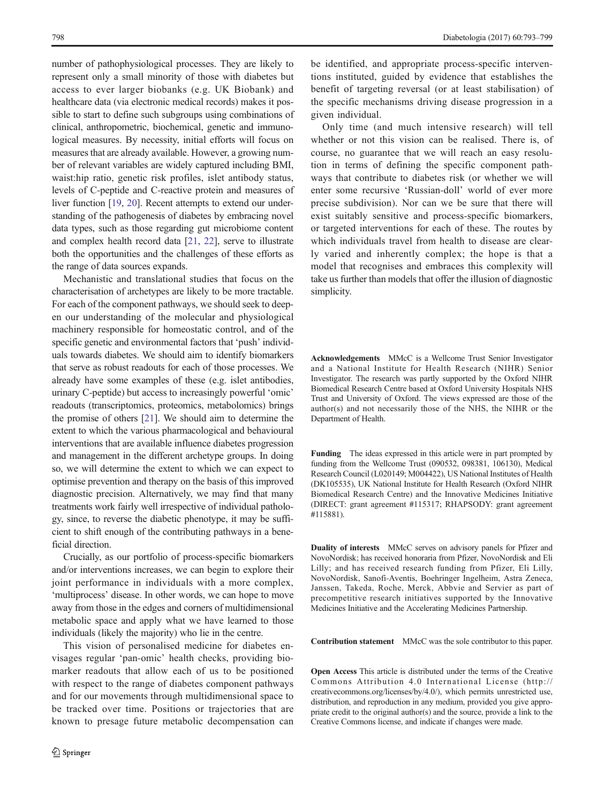number of pathophysiological processes. They are likely to represent only a small minority of those with diabetes but access to ever larger biobanks (e.g. UK Biobank) and healthcare data (via electronic medical records) makes it possible to start to define such subgroups using combinations of clinical, anthropometric, biochemical, genetic and immunological measures. By necessity, initial efforts will focus on measures that are already available. However, a growing number of relevant variables are widely captured including BMI, waist:hip ratio, genetic risk profiles, islet antibody status, levels of C-peptide and C-reactive protein and measures of liver function [[19,](#page-6-0) [20\]](#page-6-0). Recent attempts to extend our understanding of the pathogenesis of diabetes by embracing novel data types, such as those regarding gut microbiome content and complex health record data [\[21,](#page-6-0) [22\]](#page-6-0), serve to illustrate both the opportunities and the challenges of these efforts as the range of data sources expands.

Mechanistic and translational studies that focus on the characterisation of archetypes are likely to be more tractable. For each of the component pathways, we should seek to deepen our understanding of the molecular and physiological machinery responsible for homeostatic control, and of the specific genetic and environmental factors that 'push' individuals towards diabetes. We should aim to identify biomarkers that serve as robust readouts for each of those processes. We already have some examples of these (e.g. islet antibodies, urinary C-peptide) but access to increasingly powerful 'omic' readouts (transcriptomics, proteomics, metabolomics) brings the promise of others [\[21](#page-6-0)]. We should aim to determine the extent to which the various pharmacological and behavioural interventions that are available influence diabetes progression and management in the different archetype groups. In doing so, we will determine the extent to which we can expect to optimise prevention and therapy on the basis of this improved diagnostic precision. Alternatively, we may find that many treatments work fairly well irrespective of individual pathology, since, to reverse the diabetic phenotype, it may be sufficient to shift enough of the contributing pathways in a beneficial direction.

Crucially, as our portfolio of process-specific biomarkers and/or interventions increases, we can begin to explore their joint performance in individuals with a more complex, 'multiprocess' disease. In other words, we can hope to move away from those in the edges and corners of multidimensional metabolic space and apply what we have learned to those individuals (likely the majority) who lie in the centre.

This vision of personalised medicine for diabetes envisages regular 'pan-omic' health checks, providing biomarker readouts that allow each of us to be positioned with respect to the range of diabetes component pathways and for our movements through multidimensional space to be tracked over time. Positions or trajectories that are known to presage future metabolic decompensation can be identified, and appropriate process-specific interventions instituted, guided by evidence that establishes the benefit of targeting reversal (or at least stabilisation) of the specific mechanisms driving disease progression in a given individual.

Only time (and much intensive research) will tell whether or not this vision can be realised. There is, of course, no guarantee that we will reach an easy resolution in terms of defining the specific component pathways that contribute to diabetes risk (or whether we will enter some recursive 'Russian-doll' world of ever more precise subdivision). Nor can we be sure that there will exist suitably sensitive and process-specific biomarkers, or targeted interventions for each of these. The routes by which individuals travel from health to disease are clearly varied and inherently complex; the hope is that a model that recognises and embraces this complexity will take us further than models that offer the illusion of diagnostic simplicity.

Acknowledgements MMcC is a Wellcome Trust Senior Investigator and a National Institute for Health Research (NIHR) Senior Investigator. The research was partly supported by the Oxford NIHR Biomedical Research Centre based at Oxford University Hospitals NHS Trust and University of Oxford. The views expressed are those of the author(s) and not necessarily those of the NHS, the NIHR or the Department of Health.

Funding The ideas expressed in this article were in part prompted by funding from the Wellcome Trust (090532, 098381, 106130), Medical Research Council (L020149; M004422), US National Institutes of Health (DK105535), UK National Institute for Health Research (Oxford NIHR Biomedical Research Centre) and the Innovative Medicines Initiative (DIRECT: grant agreement #115317; RHAPSODY: grant agreement #115881).

Duality of interests MMcC serves on advisory panels for Pfizer and NovoNordisk; has received honoraria from Pfizer, NovoNordisk and Eli Lilly; and has received research funding from Pfizer, Eli Lilly, NovoNordisk, Sanofi-Aventis, Boehringer Ingelheim, Astra Zeneca, Janssen, Takeda, Roche, Merck, Abbvie and Servier as part of precompetitive research initiatives supported by the Innovative Medicines Initiative and the Accelerating Medicines Partnership.

Contribution statement MMcC was the sole contributor to this paper.

Open Access This article is distributed under the terms of the Creative Commons Attribution 4.0 International License (http:// creativecommons.org/licenses/by/4.0/), which permits unrestricted use, distribution, and reproduction in any medium, provided you give appropriate credit to the original author(s) and the source, provide a link to the Creative Commons license, and indicate if changes were made.